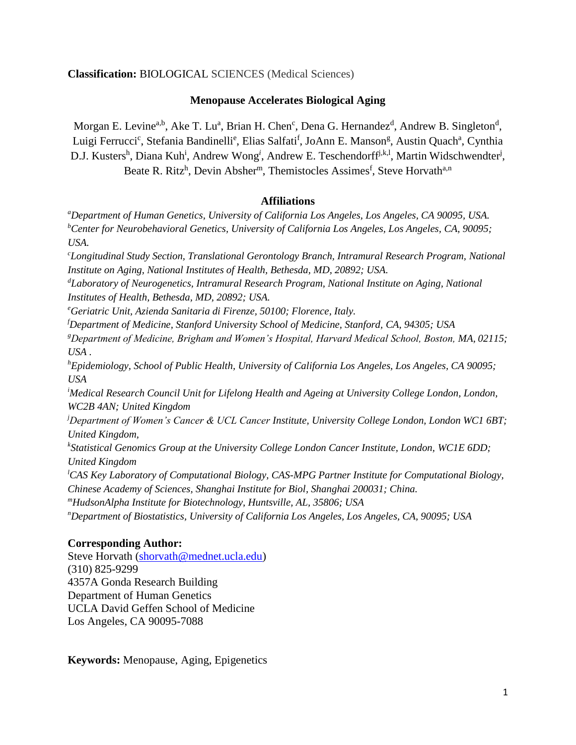## **Classification:** BIOLOGICAL SCIENCES (Medical Sciences)

## **Menopause Accelerates Biological Aging**

Morgan E. Levine<sup>a,b</sup>, Ake T. Lu<sup>a</sup>, Brian H. Chen<sup>c</sup>, Dena G. Hernandez<sup>d</sup>, Andrew B. Singleton<sup>d</sup>, Luigi Ferrucci<sup>c</sup>, Stefania Bandinelli<sup>e</sup>, Elias Salfati<sup>f</sup>, JoAnn E. Manson<sup>g</sup>, Austin Quach<sup>a</sup>, Cynthia D.J. Kusters<sup>h</sup>, Diana Kuh<sup>i</sup>, Andrew Wong<sup>i</sup>, Andrew E. Teschendorff<sup>j,k,l</sup>, Martin Widschwendter<sup>j</sup>, Beate R. Ritz<sup>h</sup>, Devin Absher<sup>m</sup>, Themistocles Assimes<sup>f</sup>, Steve Horvath<sup>a,n</sup>

## **Affiliations**

*<sup>a</sup>Department of Human Genetics, University of California Los Angeles, Los Angeles, CA 90095, USA. <sup>b</sup>Center for Neurobehavioral Genetics, University of California Los Angeles, Los Angeles, CA, 90095; USA.*

*<sup>c</sup>Longitudinal Study Section, Translational Gerontology Branch, Intramural Research Program, National Institute on Aging, National Institutes of Health, Bethesda, MD, 20892; USA.*

*<sup>d</sup>Laboratory of Neurogenetics, Intramural Research Program, National Institute on Aging, National Institutes of Health, Bethesda, MD, 20892; USA.*

*<sup>e</sup>Geriatric Unit, Azienda Sanitaria di Firenze, 50100; Florence, Italy.*

*<sup>f</sup>Department of Medicine, Stanford University School of Medicine, Stanford, CA, 94305; USA*

*<sup>g</sup>Department of Medicine, Brigham and Women's Hospital, Harvard Medical School, Boston, MA, 02115; USA .*

*<sup>h</sup>Epidemiology, School of Public Health, University of California Los Angeles, Los Angeles, CA 90095; USA*

*<sup>i</sup>Medical Research Council Unit for Lifelong Health and Ageing at University College London, London, WC2B 4AN; United Kingdom*

*<sup>j</sup>Department of Women's Cancer & UCL Cancer Institute, University College London, London WC1 6BT; United Kingdom,* 

*k Statistical Genomics Group at the University College London Cancer Institute, London, WC1E 6DD; United Kingdom*

*<sup>l</sup>CAS Key Laboratory of Computational Biology, CAS-MPG Partner Institute for Computational Biology, Chinese Academy of Sciences, Shanghai Institute for Biol, Shanghai 200031; China.*

*<sup>m</sup>HudsonAlpha Institute for Biotechnology, Huntsville, AL, 35806; USA*

*<sup>n</sup>Department of Biostatistics, University of California Los Angeles, Los Angeles, CA, 90095; USA*

## **Corresponding Author:**

Steve Horvath [\(shorvath@mednet.ucla.edu\)](mailto:shorvath@mednet.ucla.edu) (310) 825-9299 4357A Gonda Research Building Department of Human Genetics UCLA David Geffen School of Medicine Los Angeles, CA 90095-7088

**Keywords:** Menopause, Aging, Epigenetics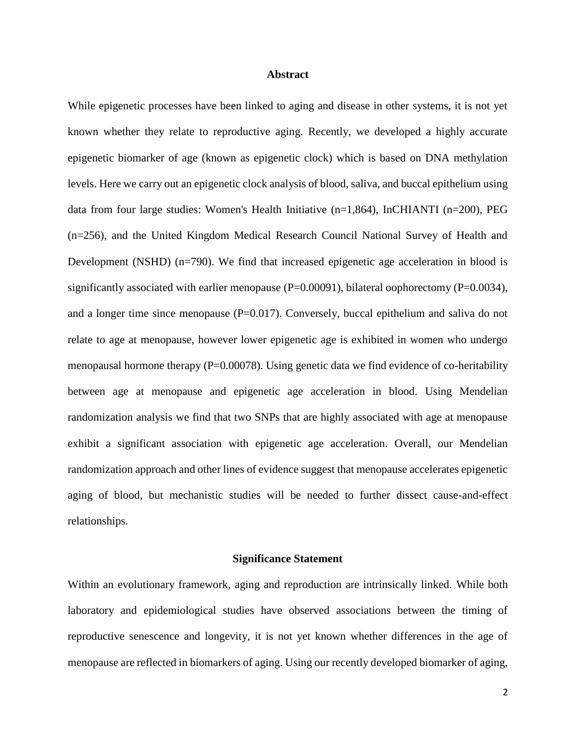#### **Abstract**

While epigenetic processes have been linked to aging and disease in other systems, it is not yet known whether they relate to reproductive aging. Recently, we developed a highly accurate epigenetic biomarker of age (known as epigenetic clock) which is based on DNA methylation levels. Here we carry out an epigenetic clock analysis of blood, saliva, and buccal epithelium using data from four large studies: Women's Health Initiative (n=1,864), InCHIANTI (n=200), PEG (n=256), and the United Kingdom Medical Research Council National Survey of Health and Development (NSHD) (n=790). We find that increased epigenetic age acceleration in blood is significantly associated with earlier menopause ( $P=0.00091$ ), bilateral oophorectomy ( $P=0.0034$ ), and a longer time since menopause  $(P=0.017)$ . Conversely, buccal epithelium and saliva do not relate to age at menopause, however lower epigenetic age is exhibited in women who undergo menopausal hormone therapy ( $P=0.00078$ ). Using genetic data we find evidence of co-heritability between age at menopause and epigenetic age acceleration in blood. Using Mendelian randomization analysis we find that two SNPs that are highly associated with age at menopause exhibit a significant association with epigenetic age acceleration. Overall, our Mendelian randomization approach and other lines of evidence suggest that menopause accelerates epigenetic aging of blood, but mechanistic studies will be needed to further dissect cause-and-effect relationships.

#### **Significance Statement**

Within an evolutionary framework, aging and reproduction are intrinsically linked. While both laboratory and epidemiological studies have observed associations between the timing of reproductive senescence and longevity, it is not yet known whether differences in the age of menopause are reflected in biomarkers of aging. Using our recently developed biomarker of aging,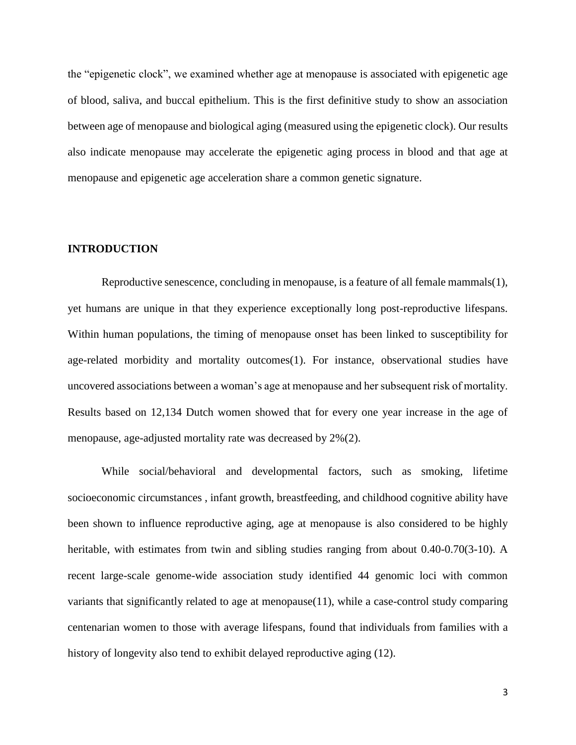the "epigenetic clock", we examined whether age at menopause is associated with epigenetic age of blood, saliva, and buccal epithelium. This is the first definitive study to show an association between age of menopause and biological aging (measured using the epigenetic clock). Our results also indicate menopause may accelerate the epigenetic aging process in blood and that age at menopause and epigenetic age acceleration share a common genetic signature.

#### **INTRODUCTION**

Reproductive senescence, concluding in menopause, is a feature of all female mammals(1), yet humans are unique in that they experience exceptionally long post-reproductive lifespans. Within human populations, the timing of menopause onset has been linked to susceptibility for age-related morbidity and mortality outcomes(1). For instance, observational studies have uncovered associations between a woman's age at menopause and her subsequent risk of mortality. Results based on 12,134 Dutch women showed that for every one year increase in the age of menopause, age-adjusted mortality rate was decreased by 2%(2).

While social/behavioral and developmental factors, such as smoking, lifetime socioeconomic circumstances , infant growth, breastfeeding, and childhood cognitive ability have been shown to influence reproductive aging, age at menopause is also considered to be highly heritable, with estimates from twin and sibling studies ranging from about 0.40-0.70(3-10). A recent large-scale genome-wide association study identified 44 genomic loci with common variants that significantly related to age at menopause(11), while a case-control study comparing centenarian women to those with average lifespans, found that individuals from families with a history of longevity also tend to exhibit delayed reproductive aging (12).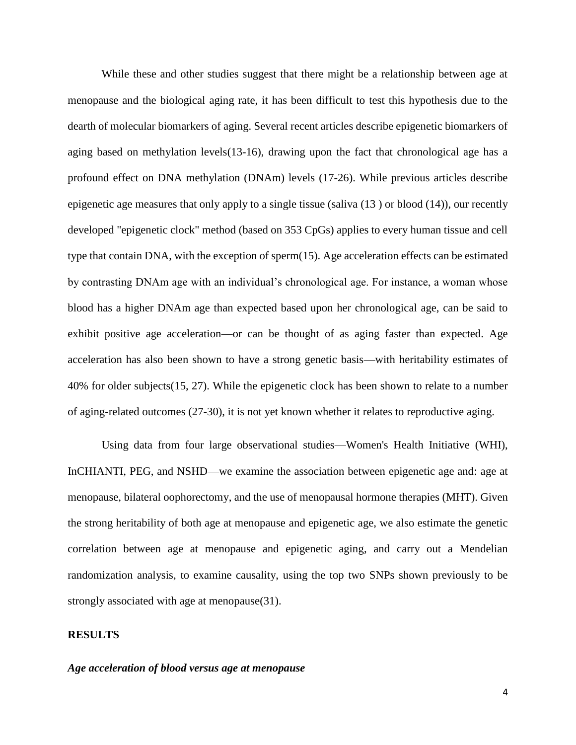While these and other studies suggest that there might be a relationship between age at menopause and the biological aging rate, it has been difficult to test this hypothesis due to the dearth of molecular biomarkers of aging. Several recent articles describe epigenetic biomarkers of aging based on methylation levels(13-16), drawing upon the fact that chronological age has a profound effect on DNA methylation (DNAm) levels (17-26). While previous articles describe epigenetic age measures that only apply to a single tissue (saliva (13 ) or blood (14)), our recently developed "epigenetic clock" method (based on 353 CpGs) applies to every human tissue and cell type that contain DNA, with the exception of sperm(15). Age acceleration effects can be estimated by contrasting DNAm age with an individual's chronological age. For instance, a woman whose blood has a higher DNAm age than expected based upon her chronological age, can be said to exhibit positive age acceleration—or can be thought of as aging faster than expected. Age acceleration has also been shown to have a strong genetic basis—with heritability estimates of 40% for older subjects(15, 27). While the epigenetic clock has been shown to relate to a number of aging-related outcomes (27-30), it is not yet known whether it relates to reproductive aging.

Using data from four large observational studies—Women's Health Initiative (WHI), InCHIANTI, PEG, and NSHD—we examine the association between epigenetic age and: age at menopause, bilateral oophorectomy, and the use of menopausal hormone therapies (MHT). Given the strong heritability of both age at menopause and epigenetic age, we also estimate the genetic correlation between age at menopause and epigenetic aging, and carry out a Mendelian randomization analysis, to examine causality, using the top two SNPs shown previously to be strongly associated with age at menopause(31).

#### **RESULTS**

#### *Age acceleration of blood versus age at menopause*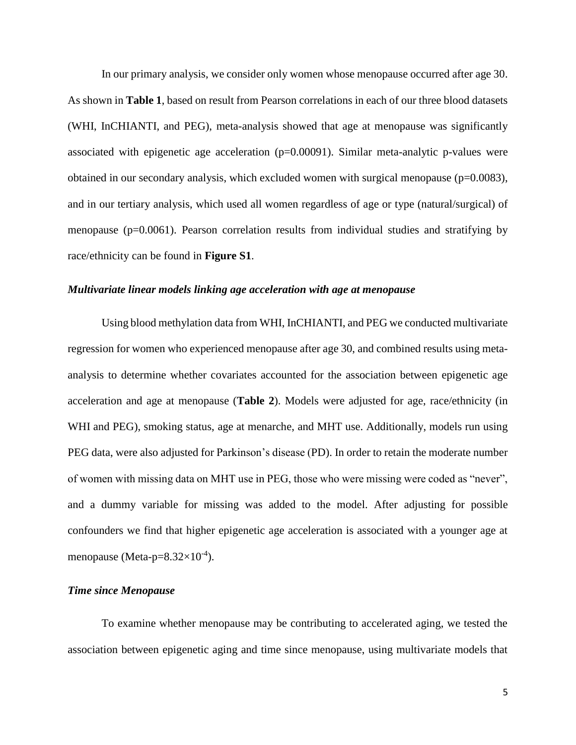In our primary analysis, we consider only women whose menopause occurred after age 30. As shown in **Table 1**, based on result from Pearson correlations in each of our three blood datasets (WHI, InCHIANTI, and PEG), meta-analysis showed that age at menopause was significantly associated with epigenetic age acceleration  $(p=0.00091)$ . Similar meta-analytic p-values were obtained in our secondary analysis, which excluded women with surgical menopause (p=0.0083), and in our tertiary analysis, which used all women regardless of age or type (natural/surgical) of menopause (p=0.0061). Pearson correlation results from individual studies and stratifying by race/ethnicity can be found in **Figure S1**.

#### *Multivariate linear models linking age acceleration with age at menopause*

Using blood methylation data from WHI, InCHIANTI, and PEG we conducted multivariate regression for women who experienced menopause after age 30, and combined results using metaanalysis to determine whether covariates accounted for the association between epigenetic age acceleration and age at menopause (**Table 2**). Models were adjusted for age, race/ethnicity (in WHI and PEG), smoking status, age at menarche, and MHT use. Additionally, models run using PEG data, were also adjusted for Parkinson's disease (PD). In order to retain the moderate number of women with missing data on MHT use in PEG, those who were missing were coded as "never", and a dummy variable for missing was added to the model. After adjusting for possible confounders we find that higher epigenetic age acceleration is associated with a younger age at menopause (Meta-p= $8.32\times10^{-4}$ ).

#### *Time since Menopause*

To examine whether menopause may be contributing to accelerated aging, we tested the association between epigenetic aging and time since menopause, using multivariate models that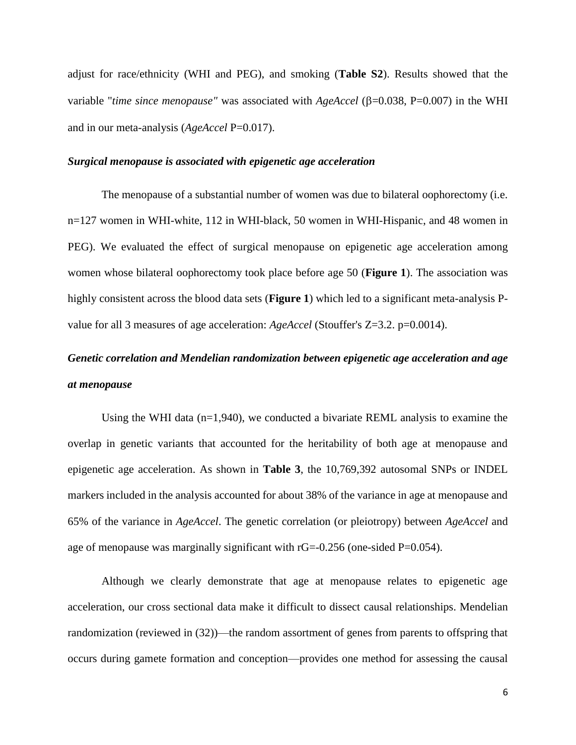adjust for race/ethnicity (WHI and PEG), and smoking (**Table S2**). Results showed that the variable "*time since menopause*" was associated with *AgeAccel* ( $\beta$ =0.038, P=0.007) in the WHI and in our meta-analysis (*AgeAccel* P=0.017).

#### *Surgical menopause is associated with epigenetic age acceleration*

The menopause of a substantial number of women was due to bilateral oophorectomy (i.e. n=127 women in WHI-white, 112 in WHI-black, 50 women in WHI-Hispanic, and 48 women in PEG). We evaluated the effect of surgical menopause on epigenetic age acceleration among women whose bilateral oophorectomy took place before age 50 (**Figure 1**). The association was highly consistent across the blood data sets (**Figure 1**) which led to a significant meta-analysis Pvalue for all 3 measures of age acceleration: *AgeAccel* (Stouffer's Z=3.2. p=0.0014).

# *Genetic correlation and Mendelian randomization between epigenetic age acceleration and age at menopause*

Using the WHI data  $(n=1,940)$ , we conducted a bivariate REML analysis to examine the overlap in genetic variants that accounted for the heritability of both age at menopause and epigenetic age acceleration. As shown in **Table 3**, the 10,769,392 autosomal SNPs or INDEL markers included in the analysis accounted for about 38% of the variance in age at menopause and 65% of the variance in *AgeAccel*. The genetic correlation (or pleiotropy) between *AgeAccel* and age of menopause was marginally significant with rG=-0.256 (one-sided P=0.054).

Although we clearly demonstrate that age at menopause relates to epigenetic age acceleration, our cross sectional data make it difficult to dissect causal relationships. Mendelian randomization (reviewed in (32))—the random assortment of genes from parents to offspring that occurs during gamete formation and conception—provides one method for assessing the causal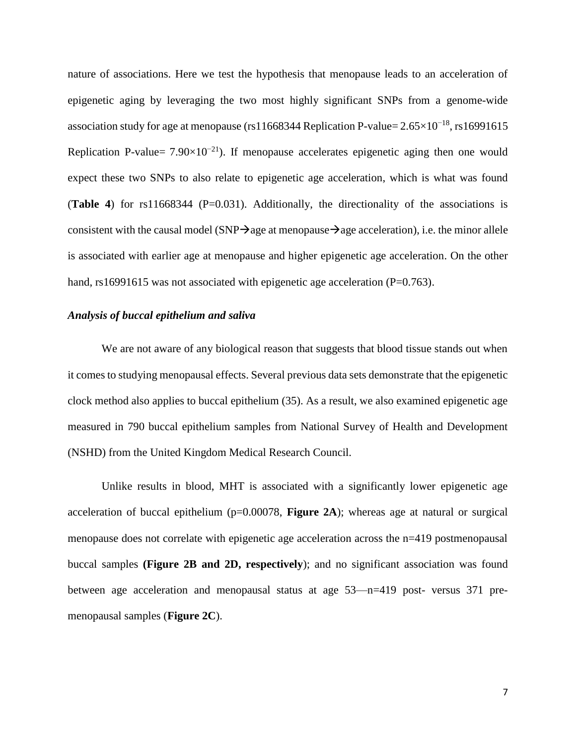nature of associations. Here we test the hypothesis that menopause leads to an acceleration of epigenetic aging by leveraging the two most highly significant SNPs from a genome-wide association study for age at menopause (rs11668344 Replication P-value= $2.65\times10^{-18}$ , rs16991615 Replication P-value=  $7.90\times10^{-21}$ ). If menopause accelerates epigenetic aging then one would expect these two SNPs to also relate to epigenetic age acceleration, which is what was found (**Table 4**) for rs11668344 (P=0.031). Additionally, the directionality of the associations is consistent with the causal model (SNP $\rightarrow$ age at menopause $\rightarrow$ age acceleration), i.e. the minor allele is associated with earlier age at menopause and higher epigenetic age acceleration. On the other hand, rs16991615 was not associated with epigenetic age acceleration (P=0.763).

#### *Analysis of buccal epithelium and saliva*

We are not aware of any biological reason that suggests that blood tissue stands out when it comes to studying menopausal effects. Several previous data sets demonstrate that the epigenetic clock method also applies to buccal epithelium (35). As a result, we also examined epigenetic age measured in 790 buccal epithelium samples from National Survey of Health and Development (NSHD) from the United Kingdom Medical Research Council.

Unlike results in blood, MHT is associated with a significantly lower epigenetic age acceleration of buccal epithelium (p=0.00078, **Figure 2A**); whereas age at natural or surgical menopause does not correlate with epigenetic age acceleration across the n=419 postmenopausal buccal samples **(Figure 2B and 2D, respectively**); and no significant association was found between age acceleration and menopausal status at age 53—n=419 post- versus 371 premenopausal samples (**Figure 2C**).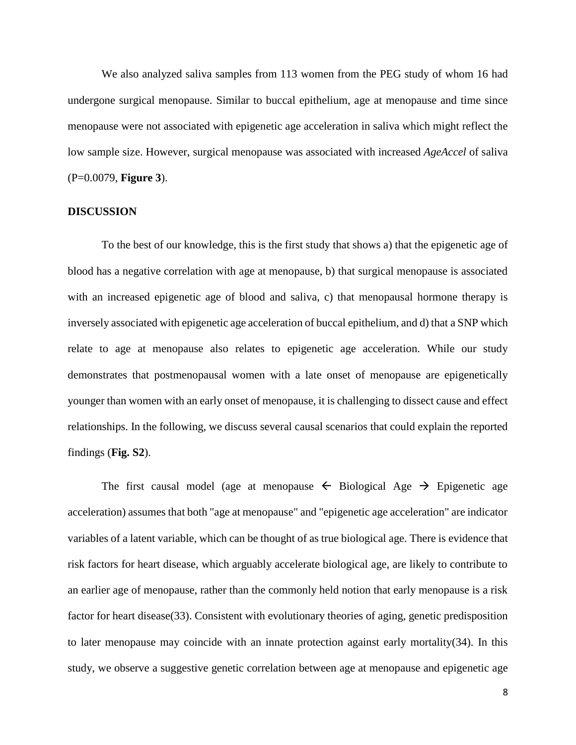We also analyzed saliva samples from 113 women from the PEG study of whom 16 had undergone surgical menopause. Similar to buccal epithelium, age at menopause and time since menopause were not associated with epigenetic age acceleration in saliva which might reflect the low sample size. However, surgical menopause was associated with increased *AgeAccel* of saliva (P=0.0079, **Figure 3**).

#### **DISCUSSION**

To the best of our knowledge, this is the first study that shows a) that the epigenetic age of blood has a negative correlation with age at menopause, b) that surgical menopause is associated with an increased epigenetic age of blood and saliva, c) that menopausal hormone therapy is inversely associated with epigenetic age acceleration of buccal epithelium, and d) that a SNP which relate to age at menopause also relates to epigenetic age acceleration. While our study demonstrates that postmenopausal women with a late onset of menopause are epigenetically younger than women with an early onset of menopause, it is challenging to dissect cause and effect relationships. In the following, we discuss several causal scenarios that could explain the reported findings (**Fig. S2**).

The first causal model (age at menopause  $\leftarrow$  Biological Age  $\rightarrow$  Epigenetic age acceleration) assumes that both "age at menopause" and "epigenetic age acceleration" are indicator variables of a latent variable, which can be thought of as true biological age. There is evidence that risk factors for heart disease, which arguably accelerate biological age, are likely to contribute to an earlier age of menopause, rather than the commonly held notion that early menopause is a risk factor for heart disease(33). Consistent with evolutionary theories of aging, genetic predisposition to later menopause may coincide with an innate protection against early mortality(34). In this study, we observe a suggestive genetic correlation between age at menopause and epigenetic age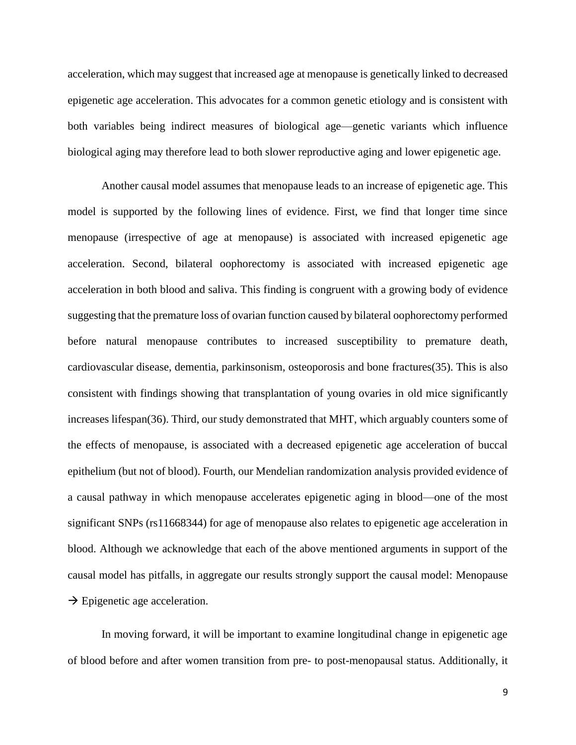acceleration, which may suggest that increased age at menopause is genetically linked to decreased epigenetic age acceleration. This advocates for a common genetic etiology and is consistent with both variables being indirect measures of biological age—genetic variants which influence biological aging may therefore lead to both slower reproductive aging and lower epigenetic age.

Another causal model assumes that menopause leads to an increase of epigenetic age. This model is supported by the following lines of evidence. First, we find that longer time since menopause (irrespective of age at menopause) is associated with increased epigenetic age acceleration. Second, bilateral oophorectomy is associated with increased epigenetic age acceleration in both blood and saliva. This finding is congruent with a growing body of evidence suggesting that the premature loss of ovarian function caused by bilateral oophorectomy performed before natural menopause contributes to increased susceptibility to premature death, cardiovascular disease, dementia, parkinsonism, osteoporosis and bone fractures(35). This is also consistent with findings showing that transplantation of young ovaries in old mice significantly increases lifespan(36). Third, our study demonstrated that MHT, which arguably counters some of the effects of menopause, is associated with a decreased epigenetic age acceleration of buccal epithelium (but not of blood). Fourth, our Mendelian randomization analysis provided evidence of a causal pathway in which menopause accelerates epigenetic aging in blood—one of the most significant SNPs (rs11668344) for age of menopause also relates to epigenetic age acceleration in blood. Although we acknowledge that each of the above mentioned arguments in support of the causal model has pitfalls, in aggregate our results strongly support the causal model: Menopause  $\rightarrow$  Epigenetic age acceleration.

In moving forward, it will be important to examine longitudinal change in epigenetic age of blood before and after women transition from pre- to post-menopausal status. Additionally, it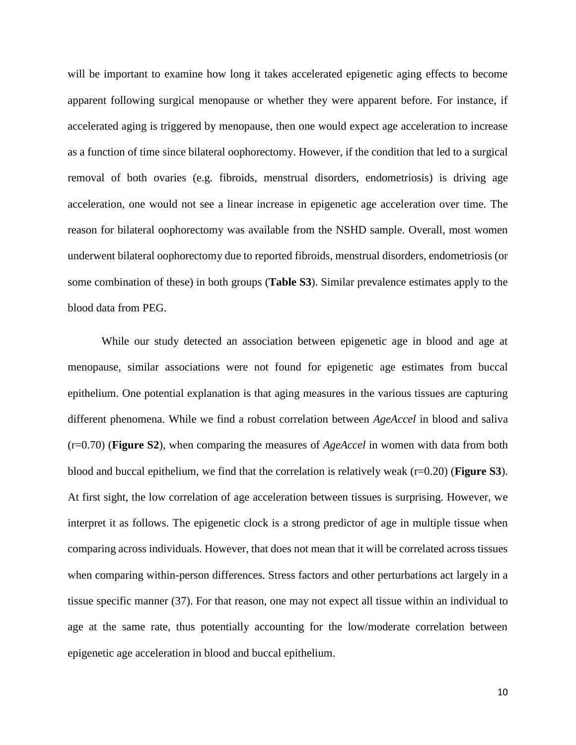will be important to examine how long it takes accelerated epigenetic aging effects to become apparent following surgical menopause or whether they were apparent before. For instance, if accelerated aging is triggered by menopause, then one would expect age acceleration to increase as a function of time since bilateral oophorectomy. However, if the condition that led to a surgical removal of both ovaries (e.g. fibroids, menstrual disorders, endometriosis) is driving age acceleration, one would not see a linear increase in epigenetic age acceleration over time. The reason for bilateral oophorectomy was available from the NSHD sample. Overall, most women underwent bilateral oophorectomy due to reported fibroids, menstrual disorders, endometriosis (or some combination of these) in both groups (**Table S3**). Similar prevalence estimates apply to the blood data from PEG.

While our study detected an association between epigenetic age in blood and age at menopause, similar associations were not found for epigenetic age estimates from buccal epithelium. One potential explanation is that aging measures in the various tissues are capturing different phenomena. While we find a robust correlation between *AgeAccel* in blood and saliva (r=0.70) (**Figure S2**), when comparing the measures of *AgeAccel* in women with data from both blood and buccal epithelium, we find that the correlation is relatively weak (r=0.20) (**Figure S3**). At first sight, the low correlation of age acceleration between tissues is surprising. However, we interpret it as follows. The epigenetic clock is a strong predictor of age in multiple tissue when comparing across individuals. However, that does not mean that it will be correlated across tissues when comparing within-person differences. Stress factors and other perturbations act largely in a tissue specific manner (37). For that reason, one may not expect all tissue within an individual to age at the same rate, thus potentially accounting for the low/moderate correlation between epigenetic age acceleration in blood and buccal epithelium.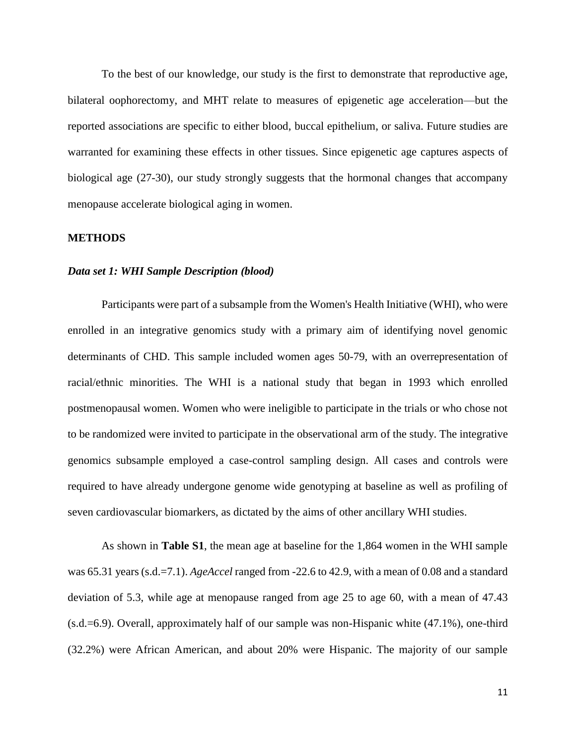To the best of our knowledge, our study is the first to demonstrate that reproductive age, bilateral oophorectomy, and MHT relate to measures of epigenetic age acceleration—but the reported associations are specific to either blood, buccal epithelium, or saliva. Future studies are warranted for examining these effects in other tissues. Since epigenetic age captures aspects of biological age (27-30), our study strongly suggests that the hormonal changes that accompany menopause accelerate biological aging in women.

#### **METHODS**

#### *Data set 1: WHI Sample Description (blood)*

Participants were part of a subsample from the Women's Health Initiative (WHI), who were enrolled in an integrative genomics study with a primary aim of identifying novel genomic determinants of CHD. This sample included women ages 50-79, with an overrepresentation of racial/ethnic minorities. The WHI is a national study that began in 1993 which enrolled postmenopausal women. Women who were ineligible to participate in the trials or who chose not to be randomized were invited to participate in the observational arm of the study. The integrative genomics subsample employed a case-control sampling design. All cases and controls were required to have already undergone genome wide genotyping at baseline as well as profiling of seven cardiovascular biomarkers, as dictated by the aims of other ancillary WHI studies.

As shown in **Table S1**, the mean age at baseline for the 1,864 women in the WHI sample was 65.31 years (s.d.=7.1). *AgeAccel* ranged from -22.6 to 42.9, with a mean of 0.08 and a standard deviation of 5.3, while age at menopause ranged from age 25 to age 60, with a mean of 47.43 (s.d.=6.9). Overall, approximately half of our sample was non-Hispanic white (47.1%), one-third (32.2%) were African American, and about 20% were Hispanic. The majority of our sample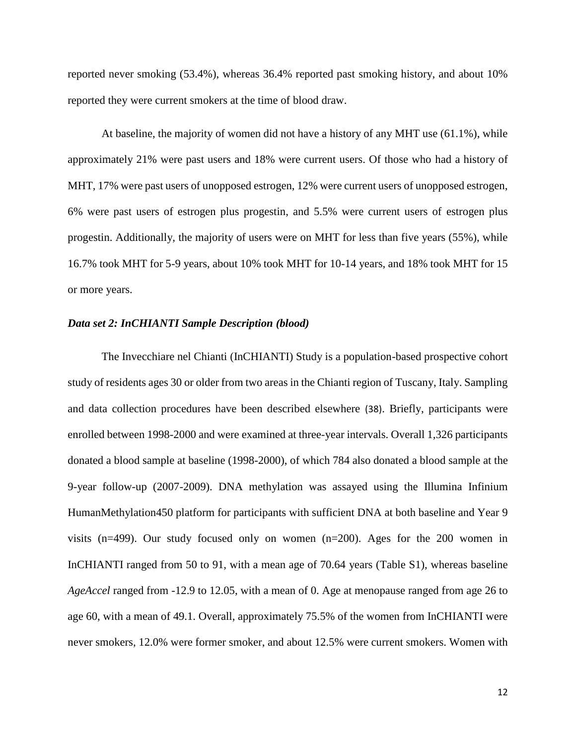reported never smoking (53.4%), whereas 36.4% reported past smoking history, and about 10% reported they were current smokers at the time of blood draw.

At baseline, the majority of women did not have a history of any MHT use (61.1%), while approximately 21% were past users and 18% were current users. Of those who had a history of MHT, 17% were past users of unopposed estrogen, 12% were current users of unopposed estrogen, 6% were past users of estrogen plus progestin, and 5.5% were current users of estrogen plus progestin. Additionally, the majority of users were on MHT for less than five years (55%), while 16.7% took MHT for 5-9 years, about 10% took MHT for 10-14 years, and 18% took MHT for 15 or more years.

#### *Data set 2: InCHIANTI Sample Description (blood)*

The Invecchiare nel Chianti (InCHIANTI) Study is a population-based prospective cohort study of residents ages 30 or older from two areas in the Chianti region of Tuscany, Italy. Sampling and data collection procedures have been described elsewhere (38). Briefly, participants were enrolled between 1998-2000 and were examined at three-year intervals. Overall 1,326 participants donated a blood sample at baseline (1998-2000), of which 784 also donated a blood sample at the 9-year follow-up (2007-2009). DNA methylation was assayed using the Illumina Infinium HumanMethylation450 platform for participants with sufficient DNA at both baseline and Year 9 visits (n=499). Our study focused only on women (n=200). Ages for the 200 women in InCHIANTI ranged from 50 to 91, with a mean age of 70.64 years (Table S1), whereas baseline *AgeAccel* ranged from -12.9 to 12.05, with a mean of 0. Age at menopause ranged from age 26 to age 60, with a mean of 49.1. Overall, approximately 75.5% of the women from InCHIANTI were never smokers, 12.0% were former smoker, and about 12.5% were current smokers. Women with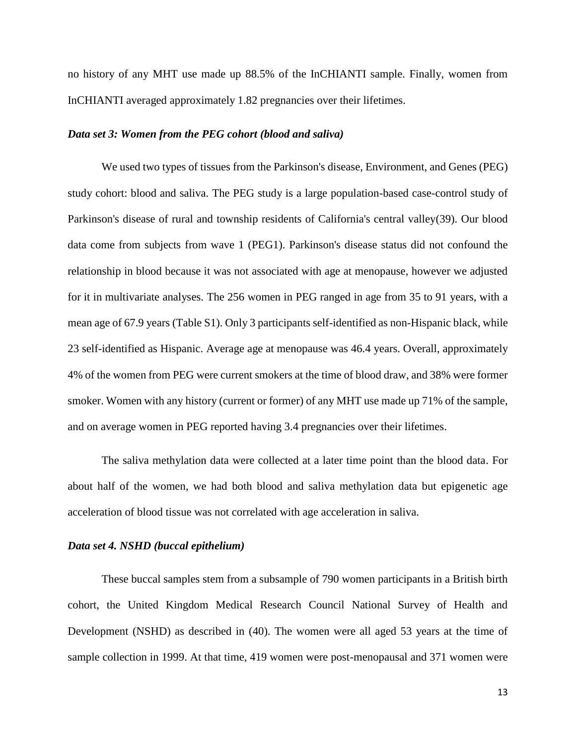no history of any MHT use made up 88.5% of the InCHIANTI sample. Finally, women from InCHIANTI averaged approximately 1.82 pregnancies over their lifetimes.

#### *Data set 3: Women from the PEG cohort (blood and saliva)*

We used two types of tissues from the Parkinson's disease, Environment, and Genes (PEG) study cohort: blood and saliva. The PEG study is a large population-based case-control study of Parkinson's disease of rural and township residents of California's central valley(39). Our blood data come from subjects from wave 1 (PEG1). Parkinson's disease status did not confound the relationship in blood because it was not associated with age at menopause, however we adjusted for it in multivariate analyses. The 256 women in PEG ranged in age from 35 to 91 years, with a mean age of 67.9 years (Table S1). Only 3 participants self-identified as non-Hispanic black, while 23 self-identified as Hispanic. Average age at menopause was 46.4 years. Overall, approximately 4% of the women from PEG were current smokers at the time of blood draw, and 38% were former smoker. Women with any history (current or former) of any MHT use made up 71% of the sample, and on average women in PEG reported having 3.4 pregnancies over their lifetimes.

The saliva methylation data were collected at a later time point than the blood data. For about half of the women, we had both blood and saliva methylation data but epigenetic age acceleration of blood tissue was not correlated with age acceleration in saliva.

#### *Data set 4. NSHD (buccal epithelium)*

These buccal samples stem from a subsample of 790 women participants in a British birth cohort, the United Kingdom Medical Research Council National Survey of Health and Development (NSHD) as described in (40). The women were all aged 53 years at the time of sample collection in 1999. At that time, 419 women were post-menopausal and 371 women were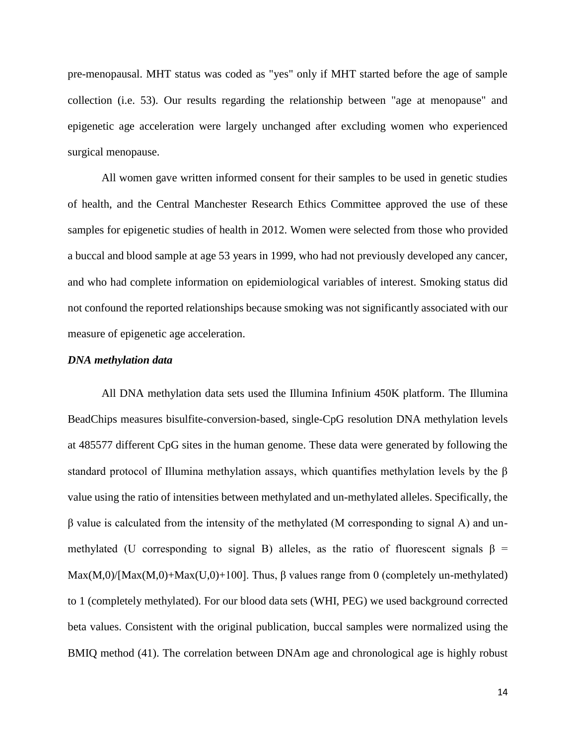pre-menopausal. MHT status was coded as "yes" only if MHT started before the age of sample collection (i.e. 53). Our results regarding the relationship between "age at menopause" and epigenetic age acceleration were largely unchanged after excluding women who experienced surgical menopause.

All women gave written informed consent for their samples to be used in genetic studies of health, and the Central Manchester Research Ethics Committee approved the use of these samples for epigenetic studies of health in 2012. Women were selected from those who provided a buccal and blood sample at age 53 years in 1999, who had not previously developed any cancer, and who had complete information on epidemiological variables of interest. Smoking status did not confound the reported relationships because smoking was not significantly associated with our measure of epigenetic age acceleration.

#### *DNA methylation data*

All DNA methylation data sets used the Illumina Infinium 450K platform. The Illumina BeadChips measures bisulfite-conversion-based, single-CpG resolution DNA methylation levels at 485577 different CpG sites in the human genome. These data were generated by following the standard protocol of Illumina methylation assays, which quantifies methylation levels by the β value using the ratio of intensities between methylated and un-methylated alleles. Specifically, the β value is calculated from the intensity of the methylated (M corresponding to signal A) and unmethylated (U corresponding to signal B) alleles, as the ratio of fluorescent signals  $\beta$  = Max(M,0)/[Max(M,0)+Max(U,0)+100]. Thus,  $\beta$  values range from 0 (completely un-methylated) to 1 (completely methylated). For our blood data sets (WHI, PEG) we used background corrected beta values. Consistent with the original publication, buccal samples were normalized using the BMIQ method (41). The correlation between DNAm age and chronological age is highly robust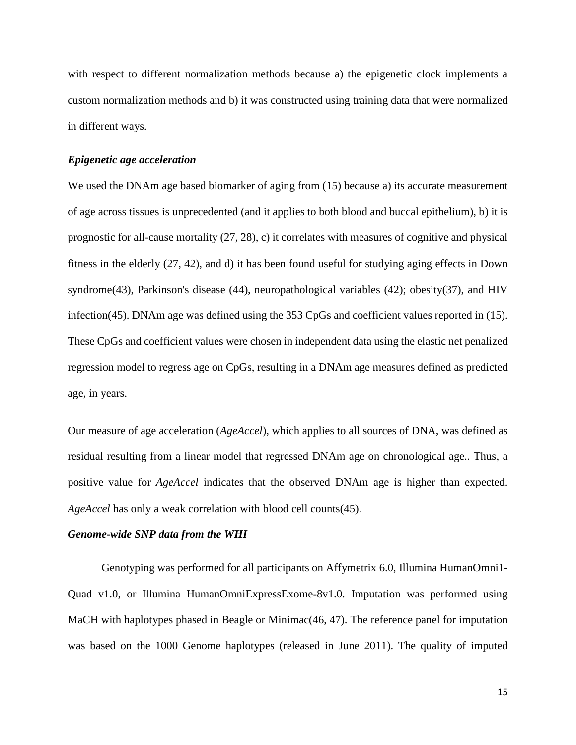with respect to different normalization methods because a) the epigenetic clock implements a custom normalization methods and b) it was constructed using training data that were normalized in different ways.

#### *Epigenetic age acceleration*

We used the DNAm age based biomarker of aging from (15) because a) its accurate measurement of age across tissues is unprecedented (and it applies to both blood and buccal epithelium), b) it is prognostic for all-cause mortality (27, 28), c) it correlates with measures of cognitive and physical fitness in the elderly (27, 42), and d) it has been found useful for studying aging effects in Down syndrome(43), Parkinson's disease (44), neuropathological variables (42); obesity(37), and HIV infection(45). DNAm age was defined using the 353 CpGs and coefficient values reported in (15). These CpGs and coefficient values were chosen in independent data using the elastic net penalized regression model to regress age on CpGs, resulting in a DNAm age measures defined as predicted age, in years.

Our measure of age acceleration (*AgeAccel*), which applies to all sources of DNA, was defined as residual resulting from a linear model that regressed DNAm age on chronological age.. Thus, a positive value for *AgeAccel* indicates that the observed DNAm age is higher than expected. *AgeAccel* has only a weak correlation with blood cell counts(45).

#### *Genome-wide SNP data from the WHI*

Genotyping was performed for all participants on Affymetrix 6.0, Illumina HumanOmni1- Quad v1.0, or Illumina HumanOmniExpressExome-8v1.0. Imputation was performed using MaCH with haplotypes phased in Beagle or Minimac(46, 47). The reference panel for imputation was based on the 1000 Genome haplotypes (released in June 2011). The quality of imputed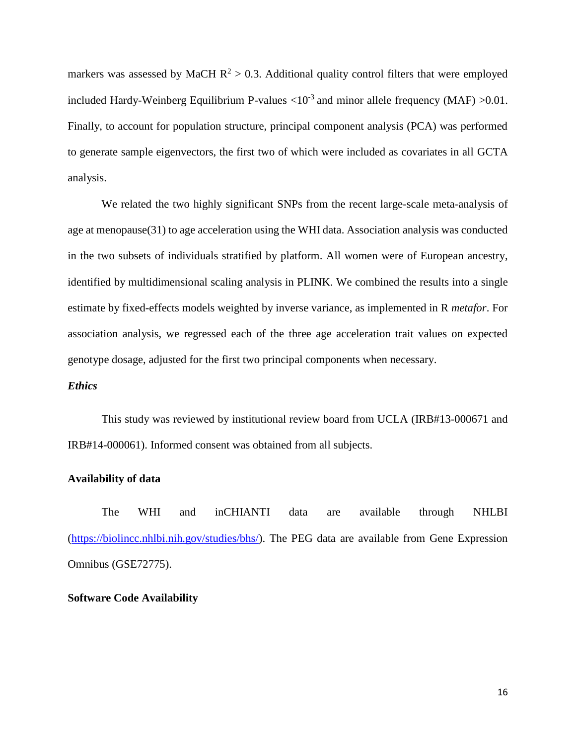markers was assessed by MaCH  $R^2 > 0.3$ . Additional quality control filters that were employed included Hardy-Weinberg Equilibrium P-values  $\langle 10^{-3}$  and minor allele frequency (MAF)  $>0.01$ . Finally, to account for population structure, principal component analysis (PCA) was performed to generate sample eigenvectors, the first two of which were included as covariates in all GCTA analysis.

We related the two highly significant SNPs from the recent large-scale meta-analysis of age at menopause(31) to age acceleration using the WHI data. Association analysis was conducted in the two subsets of individuals stratified by platform. All women were of European ancestry, identified by multidimensional scaling analysis in PLINK. We combined the results into a single estimate by fixed-effects models weighted by inverse variance, as implemented in R *metafor*. For association analysis, we regressed each of the three age acceleration trait values on expected genotype dosage, adjusted for the first two principal components when necessary.

#### *Ethics*

This study was reviewed by institutional review board from UCLA (IRB#13-000671 and IRB#14-000061). Informed consent was obtained from all subjects.

### **Availability of data**

The WHI and inCHIANTI data are available through NHLBI [\(https://biolincc.nhlbi.nih.gov/studies/bhs/\)](https://biolincc.nhlbi.nih.gov/studies/bhs/). The PEG data are available from Gene Expression Omnibus (GSE72775).

#### **Software Code Availability**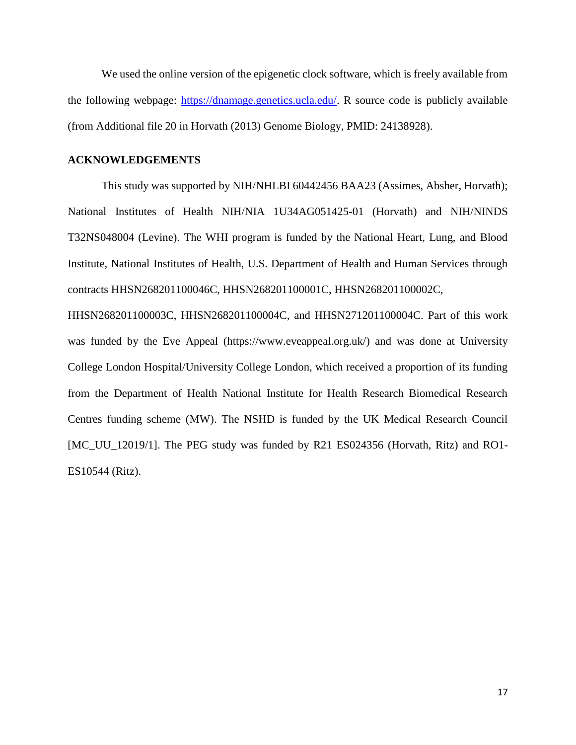We used the online version of the epigenetic clock software, which is freely available from the following webpage: [https://dnamage.genetics.ucla.edu/.](https://dnamage.genetics.ucla.edu/) R source code is publicly available (from Additional file 20 in Horvath (2013) Genome Biology, PMID: 24138928).

#### **ACKNOWLEDGEMENTS**

This study was supported by NIH/NHLBI 60442456 BAA23 (Assimes, Absher, Horvath); National Institutes of Health NIH/NIA 1U34AG051425-01 (Horvath) and NIH/NINDS T32NS048004 (Levine). The WHI program is funded by the National Heart, Lung, and Blood Institute, National Institutes of Health, U.S. Department of Health and Human Services through contracts HHSN268201100046C, HHSN268201100001C, HHSN268201100002C,

HHSN268201100003C, HHSN268201100004C, and HHSN271201100004C. Part of this work was funded by the Eve Appeal (https://www.eveappeal.org.uk/) and was done at University College London Hospital/University College London, which received a proportion of its funding from the Department of Health National Institute for Health Research Biomedical Research Centres funding scheme (MW). The NSHD is funded by the UK Medical Research Council [MC\_UU\_12019/1]. The PEG study was funded by R21 ES024356 (Horvath, Ritz) and RO1-ES10544 (Ritz).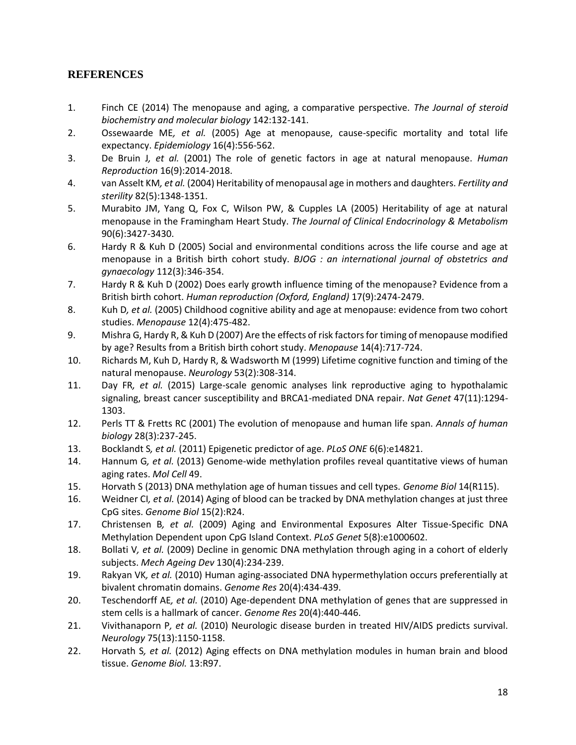# **REFERENCES**

- 1. Finch CE (2014) The menopause and aging, a comparative perspective. *The Journal of steroid biochemistry and molecular biology* 142:132-141.
- 2. Ossewaarde ME*, et al.* (2005) Age at menopause, cause-specific mortality and total life expectancy. *Epidemiology* 16(4):556-562.
- 3. De Bruin J*, et al.* (2001) The role of genetic factors in age at natural menopause. *Human Reproduction* 16(9):2014-2018.
- 4. van Asselt KM*, et al.* (2004) Heritability of menopausal age in mothers and daughters. *Fertility and sterility* 82(5):1348-1351.
- 5. Murabito JM, Yang Q, Fox C, Wilson PW, & Cupples LA (2005) Heritability of age at natural menopause in the Framingham Heart Study. *The Journal of Clinical Endocrinology & Metabolism* 90(6):3427-3430.
- 6. Hardy R & Kuh D (2005) Social and environmental conditions across the life course and age at menopause in a British birth cohort study. *BJOG : an international journal of obstetrics and gynaecology* 112(3):346-354.
- 7. Hardy R & Kuh D (2002) Does early growth influence timing of the menopause? Evidence from a British birth cohort. *Human reproduction (Oxford, England)* 17(9):2474-2479.
- 8. Kuh D*, et al.* (2005) Childhood cognitive ability and age at menopause: evidence from two cohort studies. *Menopause* 12(4):475-482.
- 9. Mishra G, Hardy R, & Kuh D (2007) Are the effects of risk factors for timing of menopause modified by age? Results from a British birth cohort study. *Menopause* 14(4):717-724.
- 10. Richards M, Kuh D, Hardy R, & Wadsworth M (1999) Lifetime cognitive function and timing of the natural menopause. *Neurology* 53(2):308-314.
- 11. Day FR*, et al.* (2015) Large-scale genomic analyses link reproductive aging to hypothalamic signaling, breast cancer susceptibility and BRCA1-mediated DNA repair. *Nat Genet* 47(11):1294- 1303.
- 12. Perls TT & Fretts RC (2001) The evolution of menopause and human life span. *Annals of human biology* 28(3):237-245.
- 13. Bocklandt S*, et al.* (2011) Epigenetic predictor of age. *PLoS ONE* 6(6):e14821.
- 14. Hannum G*, et al.* (2013) Genome-wide methylation profiles reveal quantitative views of human aging rates. *Mol Cell* 49.
- 15. Horvath S (2013) DNA methylation age of human tissues and cell types. *Genome Biol* 14(R115).
- 16. Weidner CI*, et al.* (2014) Aging of blood can be tracked by DNA methylation changes at just three CpG sites. *Genome Biol* 15(2):R24.
- 17. Christensen B*, et al.* (2009) Aging and Environmental Exposures Alter Tissue-Specific DNA Methylation Dependent upon CpG Island Context. *PLoS Genet* 5(8):e1000602.
- 18. Bollati V*, et al.* (2009) Decline in genomic DNA methylation through aging in a cohort of elderly subjects. *Mech Ageing Dev* 130(4):234-239.
- 19. Rakyan VK*, et al.* (2010) Human aging-associated DNA hypermethylation occurs preferentially at bivalent chromatin domains. *Genome Res* 20(4):434-439.
- 20. Teschendorff AE*, et al.* (2010) Age-dependent DNA methylation of genes that are suppressed in stem cells is a hallmark of cancer. *Genome Res* 20(4):440-446.
- 21. Vivithanaporn P*, et al.* (2010) Neurologic disease burden in treated HIV/AIDS predicts survival. *Neurology* 75(13):1150-1158.
- 22. Horvath S*, et al.* (2012) Aging effects on DNA methylation modules in human brain and blood tissue. *Genome Biol.* 13:R97.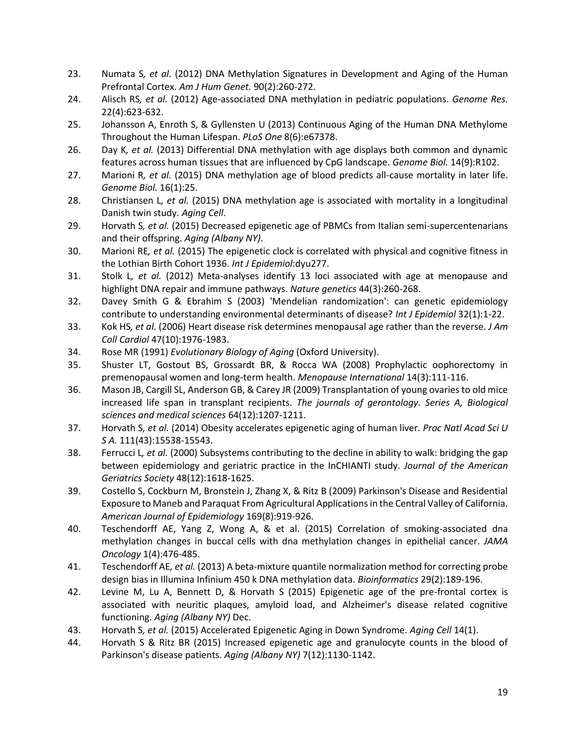- 23. Numata S*, et al.* (2012) DNA Methylation Signatures in Development and Aging of the Human Prefrontal Cortex. *Am J Hum Genet.* 90(2):260-272.
- 24. Alisch RS*, et al.* (2012) Age-associated DNA methylation in pediatric populations. *Genome Res.* 22(4):623-632.
- 25. Johansson A, Enroth S, & Gyllensten U (2013) Continuous Aging of the Human DNA Methylome Throughout the Human Lifespan. *PLoS One* 8(6):e67378.
- 26. Day K*, et al.* (2013) Differential DNA methylation with age displays both common and dynamic features across human tissues that are influenced by CpG landscape. *Genome Biol.* 14(9):R102.
- 27. Marioni R*, et al.* (2015) DNA methylation age of blood predicts all-cause mortality in later life. *Genome Biol.* 16(1):25.
- 28. Christiansen L*, et al.* (2015) DNA methylation age is associated with mortality in a longitudinal Danish twin study. *Aging Cell*.
- 29. Horvath S*, et al.* (2015) Decreased epigenetic age of PBMCs from Italian semi-supercentenarians and their offspring. *Aging (Albany NY)*.
- 30. Marioni RE*, et al.* (2015) The epigenetic clock is correlated with physical and cognitive fitness in the Lothian Birth Cohort 1936. *Int J Epidemiol*:dyu277.
- 31. Stolk L*, et al.* (2012) Meta-analyses identify 13 loci associated with age at menopause and highlight DNA repair and immune pathways. *Nature genetics* 44(3):260-268.
- 32. Davey Smith G & Ebrahim S (2003) 'Mendelian randomization': can genetic epidemiology contribute to understanding environmental determinants of disease? *Int J Epidemiol* 32(1):1-22.
- 33. Kok HS*, et al.* (2006) Heart disease risk determines menopausal age rather than the reverse. *J Am Coll Cardiol* 47(10):1976-1983.
- 34. Rose MR (1991) *Evolutionary Biology of Aging* (Oxford University).
- 35. Shuster LT, Gostout BS, Grossardt BR, & Rocca WA (2008) Prophylactic oophorectomy in premenopausal women and long-term health. *Menopause International* 14(3):111-116.
- 36. Mason JB, Cargill SL, Anderson GB, & Carey JR (2009) Transplantation of young ovaries to old mice increased life span in transplant recipients. *The journals of gerontology. Series A, Biological sciences and medical sciences* 64(12):1207-1211.
- 37. Horvath S*, et al.* (2014) Obesity accelerates epigenetic aging of human liver. *Proc Natl Acad Sci U S A.* 111(43):15538-15543.
- 38. Ferrucci L*, et al.* (2000) Subsystems contributing to the decline in ability to walk: bridging the gap between epidemiology and geriatric practice in the InCHIANTI study. *Journal of the American Geriatrics Society* 48(12):1618-1625.
- 39. Costello S, Cockburn M, Bronstein J, Zhang X, & Ritz B (2009) Parkinson's Disease and Residential Exposure to Maneb and Paraquat From Agricultural Applications in the Central Valley of California. *American Journal of Epidemiology* 169(8):919-926.
- 40. Teschendorff AE, Yang Z, Wong A, & et al. (2015) Correlation of smoking-associated dna methylation changes in buccal cells with dna methylation changes in epithelial cancer. *JAMA Oncology* 1(4):476-485.
- 41. Teschendorff AE*, et al.* (2013) A beta-mixture quantile normalization method for correcting probe design bias in Illumina Infinium 450 k DNA methylation data. *Bioinformatics* 29(2):189-196.
- 42. Levine M, Lu A, Bennett D, & Horvath S (2015) Epigenetic age of the pre-frontal cortex is associated with neuritic plaques, amyloid load, and Alzheimer's disease related cognitive functioning. *Aging (Albany NY)* Dec.
- 43. Horvath S*, et al.* (2015) Accelerated Epigenetic Aging in Down Syndrome. *Aging Cell* 14(1).
- 44. Horvath S & Ritz BR (2015) Increased epigenetic age and granulocyte counts in the blood of Parkinson's disease patients. *Aging (Albany NY)* 7(12):1130-1142.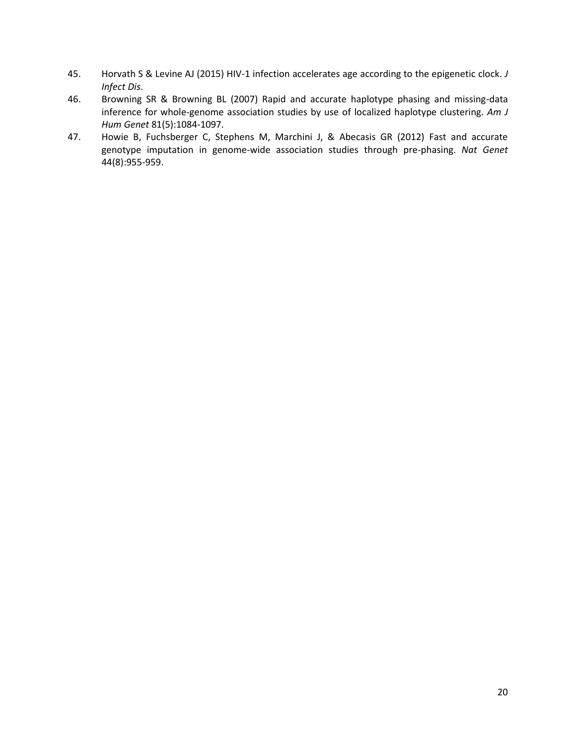- 45. Horvath S & Levine AJ (2015) HIV-1 infection accelerates age according to the epigenetic clock. *J Infect Dis*.
- 46. Browning SR & Browning BL (2007) Rapid and accurate haplotype phasing and missing-data inference for whole-genome association studies by use of localized haplotype clustering. *Am J Hum Genet* 81(5):1084-1097.
- 47. Howie B, Fuchsberger C, Stephens M, Marchini J, & Abecasis GR (2012) Fast and accurate genotype imputation in genome-wide association studies through pre-phasing. *Nat Genet* 44(8):955-959.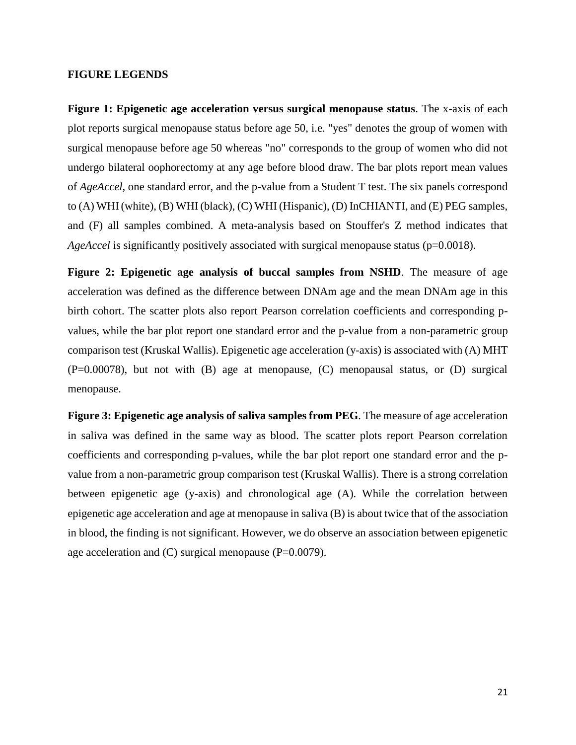#### **FIGURE LEGENDS**

**Figure 1: Epigenetic age acceleration versus surgical menopause status**. The x-axis of each plot reports surgical menopause status before age 50, i.e. "yes" denotes the group of women with surgical menopause before age 50 whereas "no" corresponds to the group of women who did not undergo bilateral oophorectomy at any age before blood draw. The bar plots report mean values of *AgeAccel*, one standard error, and the p-value from a Student T test. The six panels correspond to (A) WHI (white), (B) WHI (black), (C) WHI (Hispanic), (D) InCHIANTI, and (E) PEG samples, and (F) all samples combined. A meta-analysis based on Stouffer's Z method indicates that *AgeAccel* is significantly positively associated with surgical menopause status (p=0.0018).

**Figure 2: Epigenetic age analysis of buccal samples from NSHD**. The measure of age acceleration was defined as the difference between DNAm age and the mean DNAm age in this birth cohort. The scatter plots also report Pearson correlation coefficients and corresponding pvalues, while the bar plot report one standard error and the p-value from a non-parametric group comparison test (Kruskal Wallis). Epigenetic age acceleration (y-axis) is associated with (A) MHT (P=0.00078), but not with (B) age at menopause, (C) menopausal status, or (D) surgical menopause.

**Figure 3: Epigenetic age analysis of saliva samples from PEG**. The measure of age acceleration in saliva was defined in the same way as blood. The scatter plots report Pearson correlation coefficients and corresponding p-values, while the bar plot report one standard error and the pvalue from a non-parametric group comparison test (Kruskal Wallis). There is a strong correlation between epigenetic age (y-axis) and chronological age (A). While the correlation between epigenetic age acceleration and age at menopause in saliva (B) is about twice that of the association in blood, the finding is not significant. However, we do observe an association between epigenetic age acceleration and (C) surgical menopause (P=0.0079).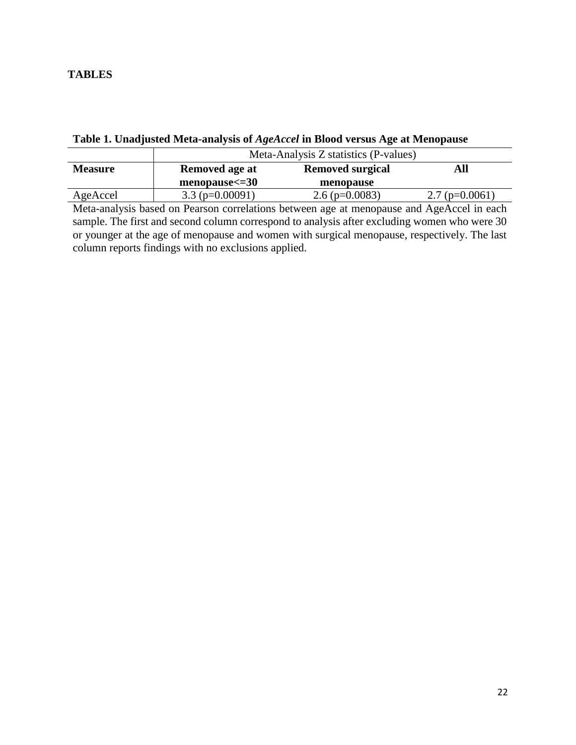## **TABLES**

|                | Meta-Analysis Z statistics (P-values) |                         |                  |  |
|----------------|---------------------------------------|-------------------------|------------------|--|
| <b>Measure</b> | Removed age at                        | <b>Removed surgical</b> | All              |  |
|                | $menopause < = 30$                    | menopause               |                  |  |
| AgeAccel       | $3.3$ (p=0.00091)                     | 2.6 ( $p=0.0083$ )      | $2.7$ (p=0.0061) |  |

**Table 1. Unadjusted Meta-analysis of** *AgeAccel* **in Blood versus Age at Menopause**

Meta-analysis based on Pearson correlations between age at menopause and AgeAccel in each sample. The first and second column correspond to analysis after excluding women who were 30 or younger at the age of menopause and women with surgical menopause, respectively. The last column reports findings with no exclusions applied.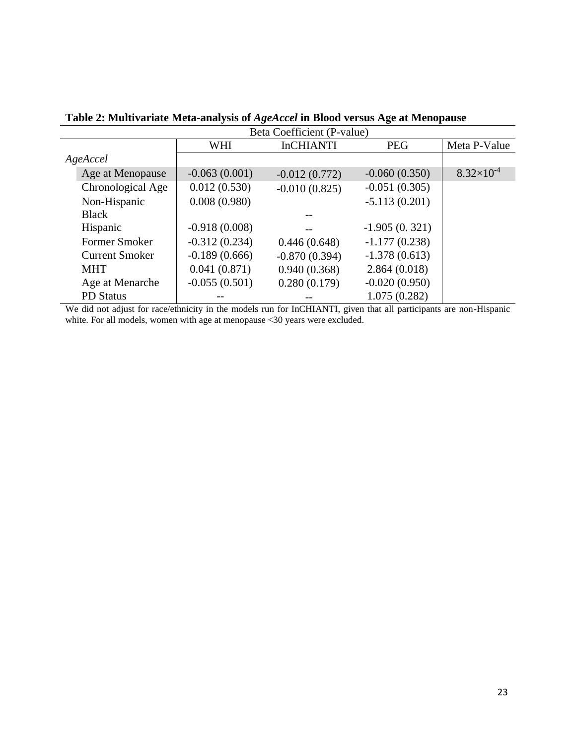| Beta Coefficient (P-value) |                 |                  |                 |                     |  |  |
|----------------------------|-----------------|------------------|-----------------|---------------------|--|--|
|                            | WHI             | <b>InCHIANTI</b> | <b>PEG</b>      | Meta P-Value        |  |  |
| AgeAccel                   |                 |                  |                 |                     |  |  |
| Age at Menopause           | $-0.063(0.001)$ | $-0.012(0.772)$  | $-0.060(0.350)$ | $8.32\times10^{-4}$ |  |  |
| Chronological Age          | 0.012(0.530)    | $-0.010(0.825)$  | $-0.051(0.305)$ |                     |  |  |
| Non-Hispanic               | 0.008(0.980)    |                  | $-5.113(0.201)$ |                     |  |  |
| <b>Black</b>               |                 |                  |                 |                     |  |  |
| Hispanic                   | $-0.918(0.008)$ |                  | $-1.905(0.321)$ |                     |  |  |
| Former Smoker              | $-0.312(0.234)$ | 0.446(0.648)     | $-1.177(0.238)$ |                     |  |  |
| <b>Current Smoker</b>      | $-0.189(0.666)$ | $-0.870(0.394)$  | $-1.378(0.613)$ |                     |  |  |
| <b>MHT</b>                 | 0.041(0.871)    | 0.940(0.368)     | 2.864(0.018)    |                     |  |  |
| Age at Menarche            | $-0.055(0.501)$ | 0.280(0.179)     | $-0.020(0.950)$ |                     |  |  |
| <b>PD</b> Status           |                 |                  | 1.075(0.282)    |                     |  |  |

**Table 2: Multivariate Meta-analysis of** *AgeAccel* **in Blood versus Age at Menopause**

We did not adjust for race/ethnicity in the models run for InCHIANTI, given that all participants are non-Hispanic white. For all models, women with age at menopause <30 years were excluded.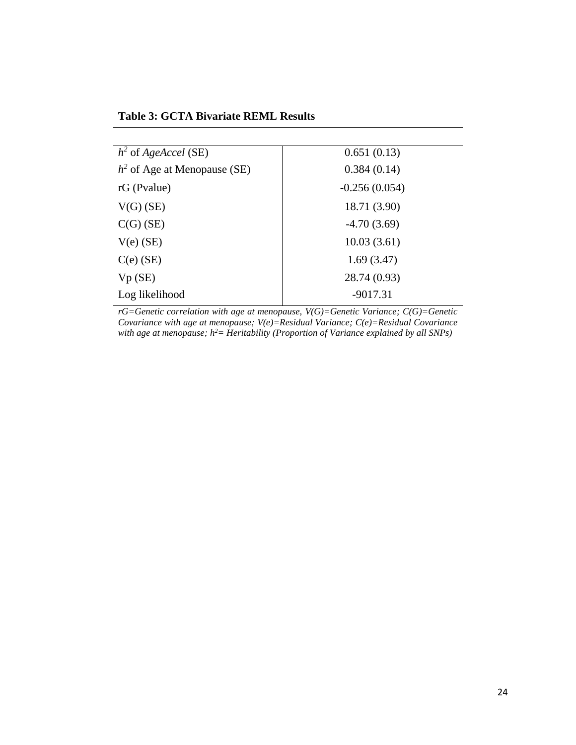**Table 3: GCTA Bivariate REML Results**

| $h^2$ of AgeAccel (SE)         | 0.651(0.13)     |
|--------------------------------|-----------------|
| $h^2$ of Age at Menopause (SE) | 0.384(0.14)     |
| $rG$ (Pvalue)                  | $-0.256(0.054)$ |
| $V(G)$ (SE)                    | 18.71 (3.90)    |
| $C(G)$ (SE)                    | $-4.70(3.69)$   |
| $V(e)$ (SE)                    | 10.03(3.61)     |
| $C(e)$ (SE)                    | 1.69(3.47)      |
| Vp(SE)                         | 28.74 (0.93)    |
| Log likelihood                 | $-9017.31$      |

*rG=Genetic correlation with age at menopause, V(G)=Genetic Variance; C(G)=Genetic Covariance with age at menopause; V(e)=Residual Variance; C(e)=Residual Covariance with age at menopause; h 2= Heritability (Proportion of Variance explained by all SNPs)*